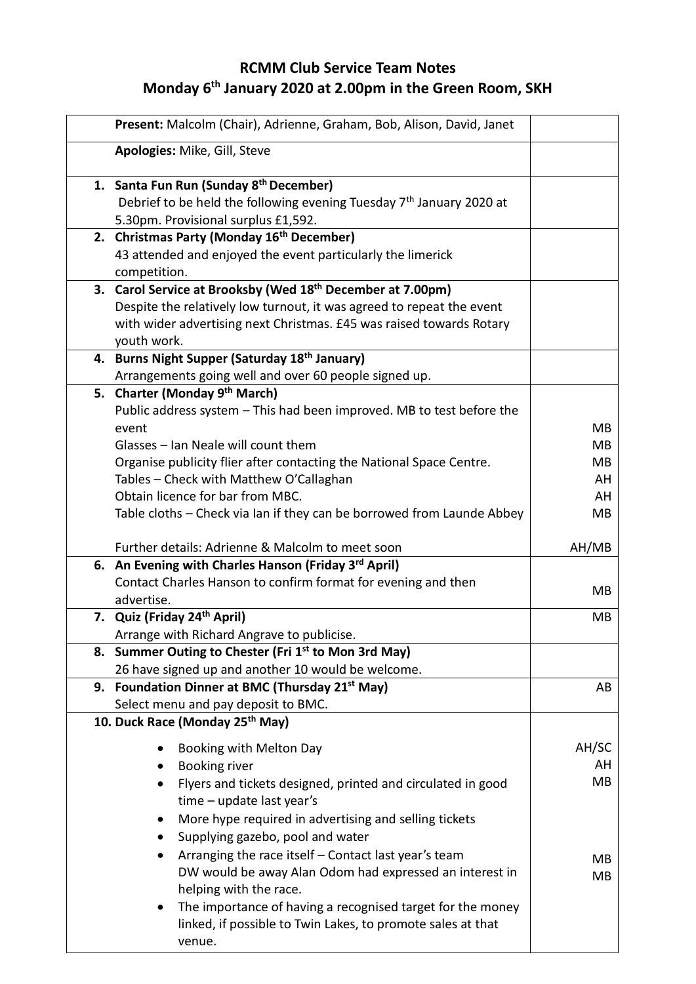## **RCMM Club Service Team Notes Monday 6 th January 2020 at 2.00pm in the Green Room, SKH**

| Present: Malcolm (Chair), Adrienne, Graham, Bob, Alison, David, Janet                                                |                 |
|----------------------------------------------------------------------------------------------------------------------|-----------------|
| Apologies: Mike, Gill, Steve                                                                                         |                 |
| 1. Santa Fun Run (Sunday 8 <sup>th</sup> December)                                                                   |                 |
| Debrief to be held the following evening Tuesday 7 <sup>th</sup> January 2020 at                                     |                 |
| 5.30pm. Provisional surplus £1,592.                                                                                  |                 |
| 2. Christmas Party (Monday 16 <sup>th</sup> December)<br>43 attended and enjoyed the event particularly the limerick |                 |
| competition.                                                                                                         |                 |
| 3. Carol Service at Brooksby (Wed 18 <sup>th</sup> December at 7.00pm)                                               |                 |
| Despite the relatively low turnout, it was agreed to repeat the event                                                |                 |
| with wider advertising next Christmas. £45 was raised towards Rotary                                                 |                 |
| youth work.                                                                                                          |                 |
| 4. Burns Night Supper (Saturday 18th January)                                                                        |                 |
| Arrangements going well and over 60 people signed up.                                                                |                 |
| 5. Charter (Monday 9 <sup>th</sup> March)                                                                            |                 |
| Public address system - This had been improved. MB to test before the                                                |                 |
| event                                                                                                                | MB              |
| Glasses - Ian Neale will count them                                                                                  | <b>MB</b><br>MB |
| Organise publicity flier after contacting the National Space Centre.<br>Tables - Check with Matthew O'Callaghan      | AH              |
| Obtain licence for bar from MBC.                                                                                     | AH              |
| Table cloths - Check via Ian if they can be borrowed from Launde Abbey                                               | MB              |
|                                                                                                                      |                 |
| Further details: Adrienne & Malcolm to meet soon                                                                     | AH/MB           |
| 6. An Evening with Charles Hanson (Friday 3rd April)                                                                 |                 |
| Contact Charles Hanson to confirm format for evening and then                                                        | MB              |
| advertise.                                                                                                           |                 |
| 7. Quiz (Friday 24 <sup>th</sup> April)                                                                              | MB              |
| Arrange with Richard Angrave to publicise.<br>8. Summer Outing to Chester (Fri 1st to Mon 3rd May)                   |                 |
| 26 have signed up and another 10 would be welcome.                                                                   |                 |
| 9. Foundation Dinner at BMC (Thursday 21 <sup>st</sup> May)                                                          | AB              |
| Select menu and pay deposit to BMC.                                                                                  |                 |
| 10. Duck Race (Monday 25 <sup>th</sup> May)                                                                          |                 |
|                                                                                                                      |                 |
| Booking with Melton Day                                                                                              | AH/SC           |
| <b>Booking river</b>                                                                                                 | AH<br>MB        |
| Flyers and tickets designed, printed and circulated in good<br>$time$ – update last year's                           |                 |
| More hype required in advertising and selling tickets                                                                |                 |
| Supplying gazebo, pool and water                                                                                     |                 |
|                                                                                                                      |                 |
| $\bullet$                                                                                                            |                 |
| Arranging the race itself - Contact last year's team                                                                 | MB.             |
| DW would be away Alan Odom had expressed an interest in<br>helping with the race.                                    | MВ              |
| The importance of having a recognised target for the money                                                           |                 |
| linked, if possible to Twin Lakes, to promote sales at that                                                          |                 |